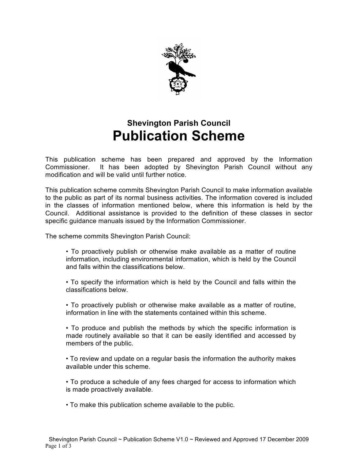

# **Shevington Parish Council Publication Scheme**

This publication scheme has been prepared and approved by the Information Commissioner. It has been adopted by Shevington Parish Council without any modification and will be valid until further notice.

This publication scheme commits Shevington Parish Council to make information available to the public as part of its normal business activities. The information covered is included in the classes of information mentioned below, where this information is held by the Council. Additional assistance is provided to the definition of these classes in sector specific guidance manuals issued by the Information Commissioner.

The scheme commits Shevington Parish Council:

- To proactively publish or otherwise make available as a matter of routine information, including environmental information, which is held by the Council and falls within the classifications below.
- To specify the information which is held by the Council and falls within the classifications below.
- To proactively publish or otherwise make available as a matter of routine, information in line with the statements contained within this scheme.

• To produce and publish the methods by which the specific information is made routinely available so that it can be easily identified and accessed by members of the public.

• To review and update on a regular basis the information the authority makes available under this scheme.

• To produce a schedule of any fees charged for access to information which is made proactively available.

• To make this publication scheme available to the public.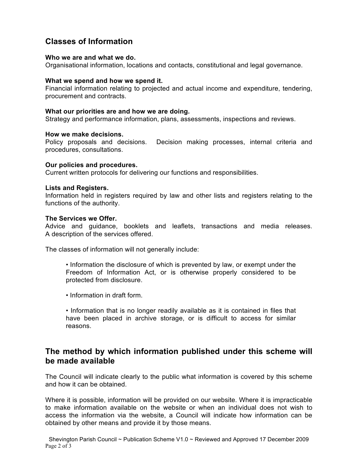## **Classes of Information**

#### **Who we are and what we do.**

Organisational information, locations and contacts, constitutional and legal governance.

#### **What we spend and how we spend it.**

Financial information relating to projected and actual income and expenditure, tendering, procurement and contracts.

#### **What our priorities are and how we are doing.**

Strategy and performance information, plans, assessments, inspections and reviews.

#### **How we make decisions.**

Policy proposals and decisions. Decision making processes, internal criteria and procedures, consultations.

#### **Our policies and procedures.**

Current written protocols for delivering our functions and responsibilities.

#### **Lists and Registers.**

Information held in registers required by law and other lists and registers relating to the functions of the authority.

#### **The Services we Offer.**

Advice and guidance, booklets and leaflets, transactions and media releases. A description of the services offered.

The classes of information will not generally include:

- Information the disclosure of which is prevented by law, or exempt under the Freedom of Information Act, or is otherwise properly considered to be protected from disclosure.
- Information in draft form.
- Information that is no longer readily available as it is contained in files that have been placed in archive storage, or is difficult to access for similar reasons.

## **The method by which information published under this scheme will be made available**

The Council will indicate clearly to the public what information is covered by this scheme and how it can be obtained.

Where it is possible, information will be provided on our website. Where it is impracticable to make information available on the website or when an individual does not wish to access the information via the website, a Council will indicate how information can be obtained by other means and provide it by those means.